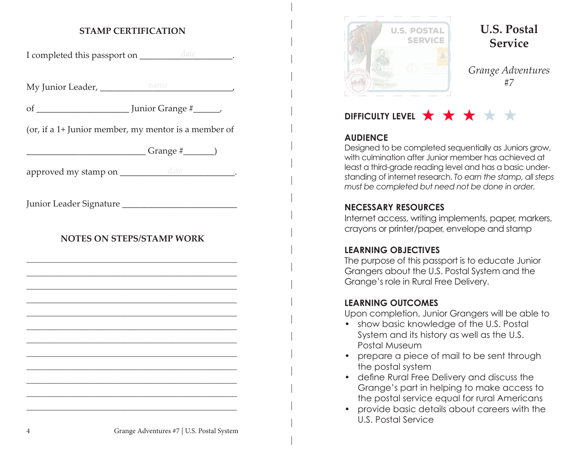#### **STAMP CERTIFICATION**

I completed this passport on \_\_\_\_\_\_\_\_\_\_\_\_\_\_\_\_\_\_\_\_\_\_.

My Junior Leader, \_\_\_\_\_\_\_\_\_\_\_\_\_\_\_\_\_\_\_\_\_\_\_\_\_\_\_\_\_\_, name

of \_\_\_\_\_\_\_\_\_\_\_\_\_\_\_\_\_\_\_\_\_ Junior Grange #\_\_\_\_\_\_,

(or, if a 1+ Junior member, my mentor is a member of

\_\_\_\_\_\_\_\_\_\_\_\_\_\_\_\_\_\_\_\_\_\_\_\_\_\_\_ Grange #\_\_\_\_\_\_\_)

approved my stamp on \_\_\_\_\_\_\_\_\_\_\_\_\_\_\_\_\_\_\_\_\_\_\_\_\_\_\_\_\_\_\_\_\_.

Junior Leader Signature

#### **NOTES ON STEPS/STAMP WORK**

\_\_\_\_\_\_\_\_\_\_\_\_\_\_\_\_\_\_\_\_\_\_\_\_\_\_\_\_\_\_\_\_\_\_\_\_\_\_\_\_\_\_\_\_\_\_\_\_\_\_\_\_ \_\_\_\_\_\_\_\_\_\_\_\_\_\_\_\_\_\_\_\_\_\_\_\_\_\_\_\_\_\_\_\_\_\_\_\_\_\_\_\_\_\_\_\_\_\_\_\_\_\_\_\_ \_\_\_\_\_\_\_\_\_\_\_\_\_\_\_\_\_\_\_\_\_\_\_\_\_\_\_\_\_\_\_\_\_\_\_\_\_\_\_\_\_\_\_\_\_\_\_\_\_\_\_\_ \_\_\_\_\_\_\_\_\_\_\_\_\_\_\_\_\_\_\_\_\_\_\_\_\_\_\_\_\_\_\_\_\_\_\_\_\_\_\_\_\_\_\_\_\_\_\_\_\_\_\_\_ \_\_\_\_\_\_\_\_\_\_\_\_\_\_\_\_\_\_\_\_\_\_\_\_\_\_\_\_\_\_\_\_\_\_\_\_\_\_\_\_\_\_\_\_\_\_\_\_\_\_\_\_ \_\_\_\_\_\_\_\_\_\_\_\_\_\_\_\_\_\_\_\_\_\_\_\_\_\_\_\_\_\_\_\_\_\_\_\_\_\_\_\_\_\_\_\_\_\_\_\_\_\_\_\_ \_\_\_\_\_\_\_\_\_\_\_\_\_\_\_\_\_\_\_\_\_\_\_\_\_\_\_\_\_\_\_\_\_\_\_\_\_\_\_\_\_\_\_\_\_\_\_\_\_\_\_\_ \_\_\_\_\_\_\_\_\_\_\_\_\_\_\_\_\_\_\_\_\_\_\_\_\_\_\_\_\_\_\_\_\_\_\_\_\_\_\_\_\_\_\_\_\_\_\_\_\_\_\_\_ \_\_\_\_\_\_\_\_\_\_\_\_\_\_\_\_\_\_\_\_\_\_\_\_\_\_\_\_\_\_\_\_\_\_\_\_\_\_\_\_\_\_\_\_\_\_\_\_\_\_\_\_ \_\_\_\_\_\_\_\_\_\_\_\_\_\_\_\_\_\_\_\_\_\_\_\_\_\_\_\_\_\_\_\_\_\_\_\_\_\_\_\_\_\_\_\_\_\_\_\_\_\_\_\_ \_\_\_\_\_\_\_\_\_\_\_\_\_\_\_\_\_\_\_\_\_\_\_\_\_\_\_\_\_\_\_\_\_\_\_\_\_\_\_\_\_\_\_\_\_\_\_\_\_\_\_\_ \_\_\_\_\_\_\_\_\_\_\_\_\_\_\_\_\_\_\_\_\_\_\_\_\_\_\_\_\_\_\_\_\_\_\_\_\_\_\_\_\_\_\_\_\_\_\_\_\_\_\_\_



**U.S. Postal Service**

*Grange Adventures #7*

# **DIFFICULTY LEVEL** ★ ★ ★ ★ ★

#### **AUDIENCE**

Designed to be completed sequentially as Juniors grow, with culmination after Junior member has achieved at least a third-grade reading level and has a basic understanding of internet research. *To earn the stamp, all steps must be completed but need not be done in order.*

#### **NECESSARY RESOURCES**

Internet access, writing implements, paper, markers, crayons or printer/paper, envelope and stamp

#### **LEARNING OBJECTIVES**

The purpose of this passport is to educate Junior Grangers about the U.S. Postal System and the Grange's role in Rural Free Delivery.

#### **LEARNING OUTCOMES**

Upon completion, Junior Grangers will be able to

- show basic knowledge of the U.S. Postal System and its history as well as the U.S. Postal Museum
- prepare a piece of mail to be sent through the postal system
- define Rural Free Delivery and discuss the Grange's part in helping to make access to the postal service equal for rural Americans
- provide basic details about careers with the U.S. Postal Service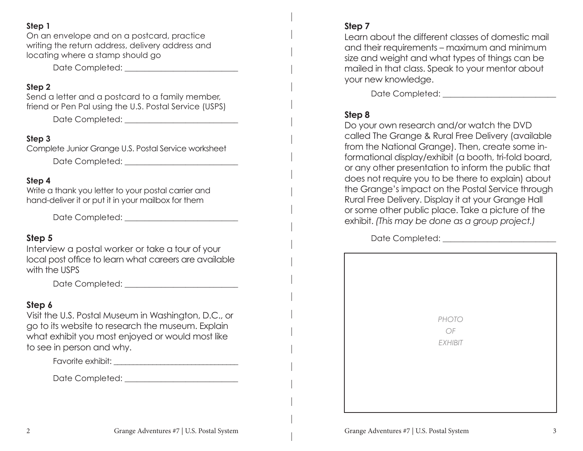#### **Step 1**

On an envelope and on a postcard, practice writing the return address, delivery address and locating where a stamp should go

Date Completed:  $\Box$ 

#### **Step 2**

Send a letter and a postcard to a family member, friend or Pen Pal using the U.S. Postal Service (USPS)

Date Completed: \_\_\_\_\_\_\_\_\_\_\_\_\_\_\_\_\_\_\_\_\_\_\_\_\_\_\_\_

#### **Step 3**

Complete Junior Grange U.S. Postal Service worksheet

Date Completed:  $\Box$ 

#### **Step 4**

Write a thank you letter to your postal carrier and hand-deliver it or put it in your mailbox for them

Date Completed: \_\_\_\_\_\_\_\_\_\_\_\_\_\_\_\_\_\_\_\_\_\_\_\_\_\_\_\_

#### **Step 5**

Interview a postal worker or take a tour of your local post office to learn what careers are available with the USPS

Date Completed:  $\Box$ 

#### **Step 6**

Visit the U.S. Postal Museum in Washington, D.C., or go to its website to research the museum. Explain what exhibit you most enjoyed or would most like to see in person and why.

Favorite exhibit: \_\_\_\_\_\_\_\_\_\_\_\_\_\_\_\_\_\_\_\_\_\_\_\_\_\_\_\_\_\_\_\_

Date Completed:  $\Box$ 

### **Step 7**

Learn about the different classes of domestic mail and their requirements – maximum and minimum size and weight and what types of things can be mailed in that class. Speak to your mentor about your new knowledge.

Date Completed:  $\Box$ 

## **Step 8**

Do your own research and/or watch the DVD called The Grange & Rural Free Delivery (available from the National Grange). Then, create some informational display/exhibit (a booth, tri-fold board, or any other presentation to inform the public that does not require you to be there to explain) about the Grange's impact on the Postal Service through Rural Free Delivery. Display it at your Grange Hall or some other public place. Take a picture of the exhibit. *(This may be done as a group project.)*

Date Completed:  $\Box$